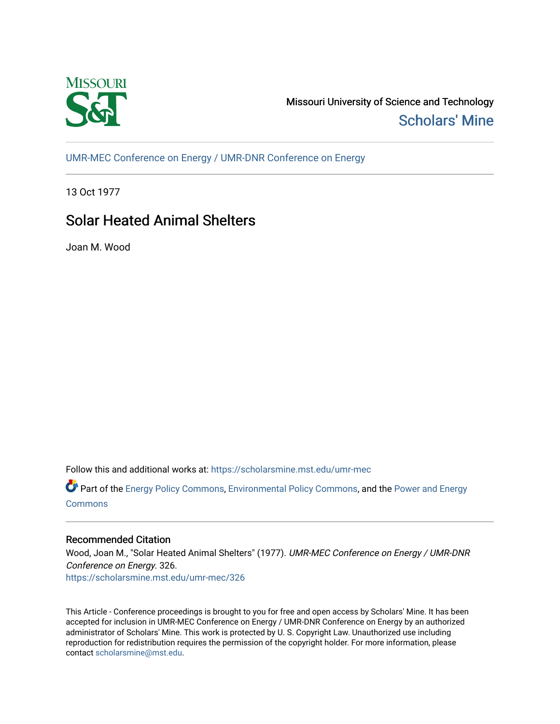

Missouri University of Science and Technology [Scholars' Mine](https://scholarsmine.mst.edu/) 

[UMR-MEC Conference on Energy / UMR-DNR Conference on Energy](https://scholarsmine.mst.edu/umr-mec)

13 Oct 1977

# Solar Heated Animal Shelters

Joan M. Wood

Follow this and additional works at: [https://scholarsmine.mst.edu/umr-mec](https://scholarsmine.mst.edu/umr-mec?utm_source=scholarsmine.mst.edu%2Fumr-mec%2F326&utm_medium=PDF&utm_campaign=PDFCoverPages) 

Part of the [Energy Policy Commons](http://network.bepress.com/hgg/discipline/1065?utm_source=scholarsmine.mst.edu%2Fumr-mec%2F326&utm_medium=PDF&utm_campaign=PDFCoverPages), [Environmental Policy Commons](http://network.bepress.com/hgg/discipline/1027?utm_source=scholarsmine.mst.edu%2Fumr-mec%2F326&utm_medium=PDF&utm_campaign=PDFCoverPages), and the [Power and Energy](http://network.bepress.com/hgg/discipline/274?utm_source=scholarsmine.mst.edu%2Fumr-mec%2F326&utm_medium=PDF&utm_campaign=PDFCoverPages) [Commons](http://network.bepress.com/hgg/discipline/274?utm_source=scholarsmine.mst.edu%2Fumr-mec%2F326&utm_medium=PDF&utm_campaign=PDFCoverPages)

# Recommended Citation

Wood, Joan M., "Solar Heated Animal Shelters" (1977). UMR-MEC Conference on Energy / UMR-DNR Conference on Energy. 326. [https://scholarsmine.mst.edu/umr-mec/326](https://scholarsmine.mst.edu/umr-mec/326?utm_source=scholarsmine.mst.edu%2Fumr-mec%2F326&utm_medium=PDF&utm_campaign=PDFCoverPages) 

This Article - Conference proceedings is brought to you for free and open access by Scholars' Mine. It has been accepted for inclusion in UMR-MEC Conference on Energy / UMR-DNR Conference on Energy by an authorized administrator of Scholars' Mine. This work is protected by U. S. Copyright Law. Unauthorized use including reproduction for redistribution requires the permission of the copyright holder. For more information, please contact [scholarsmine@mst.edu](mailto:scholarsmine@mst.edu).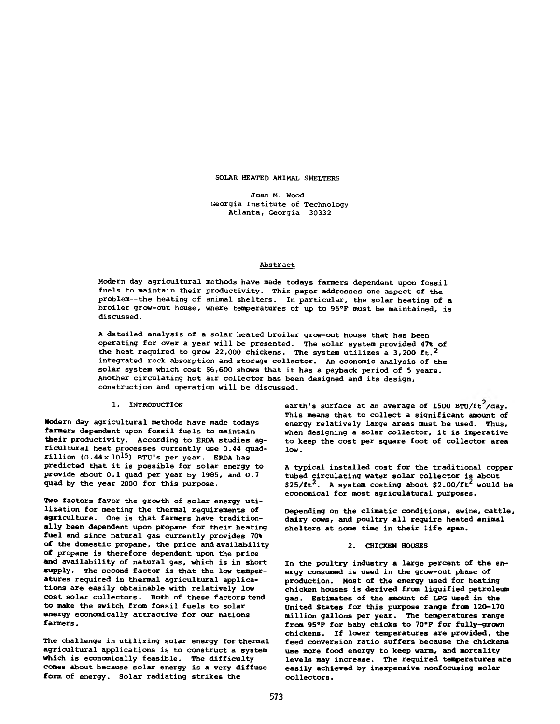**SOLAR HEATED ANIMAL SHELTERS**

**J oan M . Wood Georgia Institute of Technology Atlanta, Georgia 30332**

#### **Abstract**

**Modern day agricultural methods have made todays farmers dependent upon fossil fuels to maintain their productivity. This paper addresses one aspect of the problem— the heating of animal shelters. In particular, the solar heating of a broiler grow-out house, where temperatures of up to 95°F must be maintained, is discussed.**

**A detailed analysis of a solar heated broiler grow-out house that has been operating for over a year will be presented. The solar system provided 47% of the heat required to grow 22,000 chickens. The system utilizes a 3,200 ft.2 integrated rock absorption and storage collector. An economic analysis of the solar system which cost \$6,600 shows that it has a payback period of 5 years. Another circulating hot air collector has been designed and its design, construction and operation will be discussed.**

**1. INTRODUCTION**

**Modern day agricultural methods have made todays fanners dependent upon fossil fuels to maintain their productivity. According to ERDA studies agricultural heat processes currently use 0.44 quad** $rillion$  (0.44 x  $10^{15}$ ) BTU's per year. ERDA has **predicted that it is possible for solar energy to provide about 0.1 quad per year by 1985, and 0.7 quad by the year 2000 for this purpose.**

**Two factors favor the growth of solar energy utilization for meeting the thermal requirements of agriculture. One is that fanners have traditionally been dependent upon propane for their heating fuel and since natural gas currently provides 70% of the domestic propane, the price and availability of propane is therefore dependent upon the price and availability of natural gas, which is in short supply. The second factor is that the low temperatures required in thermal agricultural applications are easily obtainable with relatively low cost solar collectors. Both of these factors tend to make the switch from fossil fuels to solar energy economically attractive for our nations farmers.**

**The challenge in utilizing solar energy for thermal agricultural applications is to construct a system which is economically feasible. The difficulty comes about because solar energy is a very diffuse form of energy. Solar radiating strikes the**

earth's surface at an average of 1500 BTU/ft<sup>2</sup>/day. **This means that to collect a significant amount of energy relatively large areas must be used. Thus, when designing a solar collector, it is imperative to keep the cost per square foot of collector area low.**

**A typical installed cost for the traditional copper tubed circulating water solar collector is about**  $$25/ft^2$ . A system costing about  $$2.00/ft^2$  would be **economical for most agriculatural purposes.**

**Depending on the climatic conditions, swine, cattle, dairy cows, and poultry all require heated animal shelters at some time in their life span.**

### **2. CHICKEN HOUSES**

**In the poultry industry a large percent of the energy consumed is used in the grow-out phase of production. Most of the energy used for heating chicken houses is derived from liquified petroleum gas. Estimates of the amount of LPG used in the United States for this purpose range from 120-170 million gallons per year. The temperatures range from 95°F for baby chicks to 70°F for fully-grown chickens. If lower temperatures are provided, the feed conversion ratio suffers because the chickens use more food energy to keep warm, and mortality levels may increase. The required temperatures are easily achieved by inexpensive nonfocusing solar collectors.**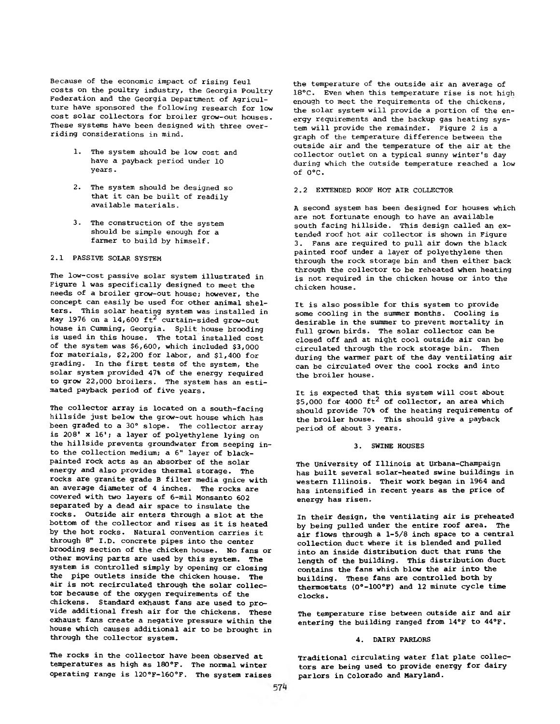Because of the economic impact of rising feul costs on the poultry industry, the Georgia Poultry Federation and the Georgia Department of Agriculture have sponsored the following research for low cost solar collectors for broiler grow-out houses. These systems have been designed with three overriding considerations in mind.

- 1. The system should be low cost and have a payback period under 10 years.
- 2. The system should be designed so that it can be built of readily available materials.
- 3. The construction of the system should be simple enough for a farmer to build by himself.

## 2.1 PASSIVE SOLAR SYSTEM

The low-cost passive solar system illustrated in Figure 1 was specifically designed to meet the needs of a broiler grow-out house; however, the concept can easily be used for other animal shelters. This solar heating system was installed in May 1976 on a 14,600  $\rm{ft}^2$  curtain-sided grow-out house in Cumming, Georgia. Split house brooding is used in this house. The total installed cost of the system was \$6,600, which included \$3,000 for materials, \$2,200 for labor, and \$1,400 for grading. In the first tests of the system, the solar system provided 47% of the energy required to grow 22,000 broilers. The system has an estimated payback period of five years.

The collector array is located on a south-facing hillside just below the grow-out house which has been graded to a 30° slope. The collector array is 208' x 16'; a layer of polyethylene lying on the hillside prevents groundwater from seeping into the collection medium; a 6" layer of blackpainted rock acts as an absorber of the solar energy and also provides thermal storage. The rocks are granite grade B filter media gnice with an average diameter of 4 inches. The rocks are covered with two layers of 6-mil Monsanto 602 separated by a dead air space to insulate the rocks. Outside air enters through a slot at the bottom of the collector and rises as it is heated by the hot rocks. Natural convention carries it through 8" I.D. concrete pipes into the center brooding section of the chicken house. No fans or other moving parts are used by this system. The system is controlled simply by opening or closing the pipe outlets inside the chicken house. The air is not recirculated through the solar collector because of the oxygen requirements of the chickens. Standard exhaust fans are used to provide additional fresh air for the chickens. These exhaust fans create a negative pressure within the house which causes additional air to be brought in through the collector system.

The rocks in the collector have been observed at temperatures as high as 180°F. The normal winter operating range is 120°F-160°F. The system raises the temperature of the outside air an average of 18°C. Even when this temperature rise is not high enough to meet the requirements of the chickens, the solar system will provide a portion of the energy requirements and the backup gas heating system will provide the remainder. Figure 2 is a graph of the temperature difference between the outside air and the temperature of the air at the collector outlet on a typical sunny winter's day during which the outside temperature reached a low of 0°C.

# 2.2 EXTENDED ROOF HOT AIR COLLECTOR

A second system has been designed for houses which are not fortunate enough to have an available south facing hillside. This design called an extended roof hot air collector is shown in Figure 3. Fans are required to pull air down the black painted roof under a layer of polyethylene then through the rock storage bin and then either back through the collector to be reheated when heating is not required in the chicken house or into the chicken house.

It is also possible for this system to provide some cooling in the summer months. Cooling is desirable in the summer to prevent mortality in full grown birds. The solar collector can be closed off and at night cool outside air can be circulated through the rock storage bin. Then during the warmer part of the day ventilating air can be circulated over the cool rocks and into the broiler house.

It is expected that this system will cost about \$5,000 for 4000  $\text{ft}^2$  of collector, an area which should provide 70% of the heating requirements of the broiler house. This should give a payback period of about 3 years.

#### 3. SWINE HOUSES

The University of Illinois at Urbana-Champaign has built several solar-heated swine buildings in western Illinois. Their work began in 1964 and has intensified in recent years as the price of energy has risen.

In their design, the ventilating air is preheated by being pulled under the entire roof area. The air flows through a 1-5/8 inch space to a central collection duct where it is blended and pulled into an inside distribution duct that runs the length of the building. This distribution duct contains the fans which blow the air into the building. These fans are controlled both by thermostats (0°-100°F) and 12 minute cycle time clocks.

The temperature rise between outside air and air entering the building ranged from 14°F to 44°F.

#### 4. DAIRY PARLORS

Traditional circulating water flat plate collectors are being used to provide energy for dairy parlors in Colorado and Maryland.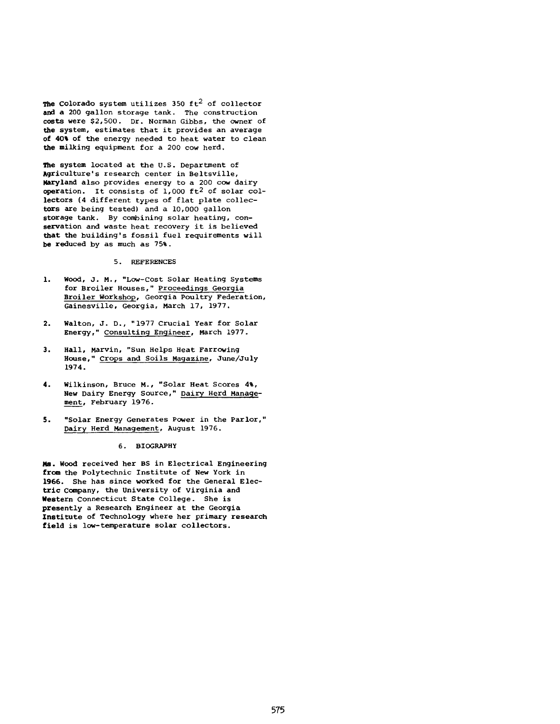The Colorado system utilizes 350  $ft^2$  of collector and a 200 gallon storage tank. The construction costs were \$2,500. Dr. Norman Gibbs, the owner of the system, estimates that it provides an average of 40% of the energy needed to heat water to clean the milking equipment for a 200 cow herd.

The system located at the U.S. Department of Agriculture's research center in Beltsville, Maryland also provides energy to a 200 cow dairy operation. It consists of  $1,000$  ft<sup>2</sup> of solar collectors (4 different types of flat plate collectors are being tested) and a 10,000 gallon storage tank. By combining solar heating, conservation and waste heat recovery it is believed that the building's fossil fuel requirements will be reduced by as much as 75%.

# 5. REFERENCES

- 1. Wood, J. M., "Low-Cost Solar Heating Systems for Broiler Houses," Proceedings Georgia Broiler Workshop, Georgia Poultry Federation, Gainesville, Georgia, March 17, 1977.
- 2. Walton, J. D., "1977 Crucial Year for Solar Energy," Consulting Engineer, March 1977.
- 3. Hall, Marvin, "Sun Helps Heat Farrowing House," Crops and Soils Magazine, June/July 1974.
- 4. Wilkinson, Bruce M., "Solar Heat Scores 4%, New Dairy Energy Source," Dairy Herd Management, February 1976.
- 5. "Solar Energy Generates Power in the Parlor," Dairy Herd Management, August 1976.

### 6. BIOGRAPHY

**Ms.** Wood received her BS in Electrical Engineering **from** the Polytechnic Institute of New York in 1966. She has since worked for the General Elec**tric** Company, the University of Virginia and **Western** Connecticut State College. She is **presently** a Research Engineer at the Georgia Institute of Technology where her primary research **field** is low-temperature solar collectors.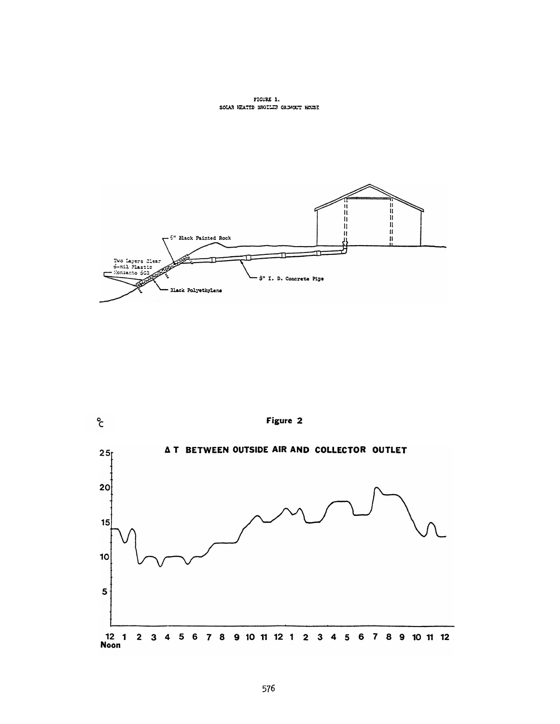**FICURE 1.** SOLAR HEATED BROILER GROWOUT HOUSE